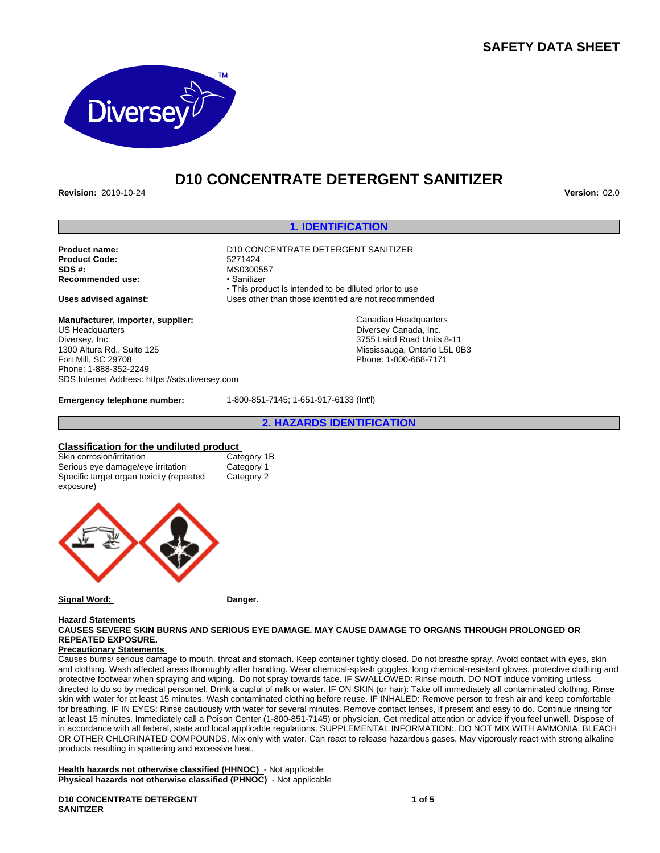# **SAFETY DATA SHEET**



# **D10 CONCENTRATE DETERGENT SANITIZER**

**Revision:** 2019-10-24 **Version:** 02.0

### **1. IDENTIFICATION**

| Product name:<br><b>Product Code:</b><br>SDS #:<br><b>Recommended use:</b> | D10 CONCENTRATE DETERGENT SANITIZER<br>5271424<br>MS0300557<br>• Sanitizer                                    |
|----------------------------------------------------------------------------|---------------------------------------------------------------------------------------------------------------|
| Uses advised against:                                                      | • This product is intended to be diluted prior to use<br>Uses other than those identified are not recommended |
| Manufacturer, importer, supplier:                                          | Canadian Headquarters                                                                                         |
| US Headquarters                                                            | Diversey Canada, Inc.                                                                                         |
| Diversey, Inc.                                                             | 3755 Laird Road Units 8-11                                                                                    |
| 1300 Altura Rd., Suite 125                                                 | Mississauga, Ontario L5L 0B3                                                                                  |
| Fort Mill, SC 29708                                                        | Phone: 1-800-668-7171                                                                                         |

**Manufacturer, importer, supplier:** US Headquarters Diversey, Inc. 1300 Altura Rd., Suite 125 Fort Mill, SC 29708 Phone: 1-888-352-2249 SDS Internet Address: https://sds.diversey.com

**Emergency telephone number:** 1-800-851-7145; 1-651-917-6133 (Int'l)

**2. HAZARDS IDENTIFICATION**

**Classification for the undiluted product** Skin corrosion/irritation Category 1<br>Serious eye damage/eye irritation Category 1 Serious eye damage/eye irritation Specific target organ toxicity (repeated exposure) Category 2



#### **Signal Word:** Danger.

#### **Hazard Statements CAUSES SEVERE SKIN BURNS AND SERIOUS EYE DAMAGE. MAY CAUSE DAMAGE TO ORGANS THROUGH PROLONGED OR REPEATED EXPOSURE.**

### **Precautionary Statements**

Causes burns/ serious damage to mouth, throat and stomach. Keep container tightly closed. Do not breathe spray. Avoid contact with eyes, skin and clothing. Wash affected areas thoroughly after handling. Wear chemical-splash goggles, long chemical-resistant gloves, protective clothing and protective footwear when spraying and wiping. Do not spray towards face. IF SWALLOWED: Rinse mouth. DO NOT induce vomiting unless directed to do so by medical personnel. Drink a cupful of milk or water. IF ON SKIN (or hair): Take off immediately all contaminated clothing. Rinse skin with water for at least 15 minutes. Wash contaminated clothing before reuse. IF INHALED: Remove person to fresh air and keep comfortable for breathing. IF IN EYES: Rinse cautiously with water for several minutes. Remove contact lenses, if present and easy to do. Continue rinsing for at least 15 minutes. Immediately call a Poison Center (1-800-851-7145) or physician. Get medical attention or advice if you feel unwell. Dispose of in accordance with all federal, state and local applicable regulations. SUPPLEMENTAL INFORMATION:. DO NOT MIX WITH AMMONIA, BLEACH OR OTHER CHLORINATED COMPOUNDS. Mix only with water. Can react to release hazardous gases. May vigorously react with strong alkaline products resulting in spattering and excessive heat.

**Health hazards not otherwise classified (HHNOC)** - Not applicable **Physical hazards not otherwise classified (PHNOC)** - Not applicable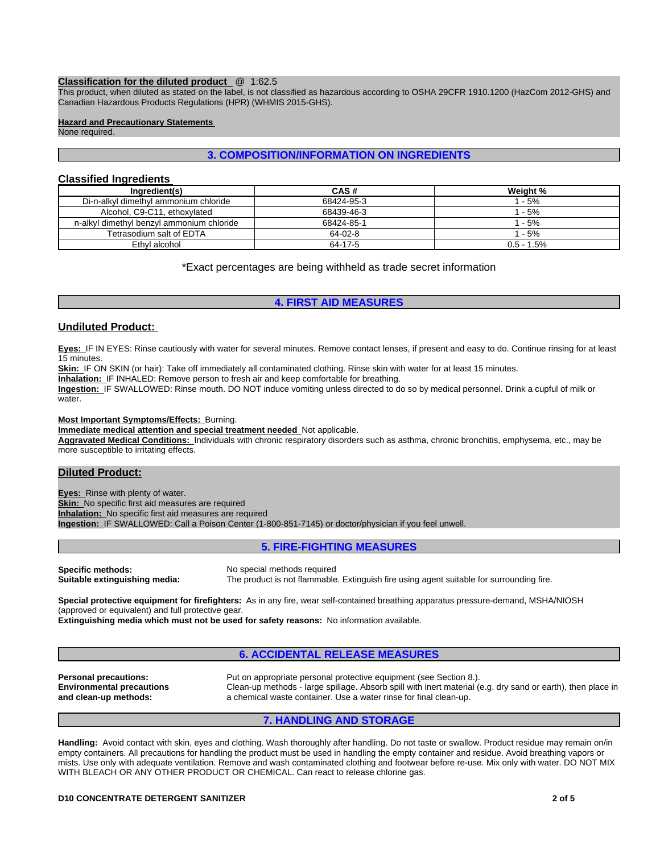#### **Classification for the diluted product** @ 1:62.5

This product, when diluted as stated on the label, is not classified as hazardous according to OSHA 29CFR 1910.1200 (HazCom 2012-GHS) and Canadian Hazardous Products Regulations (HPR) (WHMIS 2015-GHS).

### **Hazard and Precautionary Statements**

None required.

### **3. COMPOSITION/INFORMATION ON INGREDIENTS**

### **Classified Ingredients**

| Ingredient(s)                             | CAS#       | Weight %     |
|-------------------------------------------|------------|--------------|
| Di-n-alkyl dimethyl ammonium chloride     | 68424-95-3 | $-5%$        |
| Alcohol, C9-C11, ethoxylated              | 68439-46-3 | $-5%$        |
| n-alkyl dimethyl benzyl ammonium chloride | 68424-85-1 | $-5%$        |
| Tetrasodium salt of EDTA                  | 64-02-8    | $-5%$        |
| Ethyl alcohol                             | 64-17-5    | $0.5 - 1.5%$ |

\*Exact percentages are being withheld as trade secret information

## **4. FIRST AID MEASURES**

### **Undiluted Product:**

**Eyes:** IF IN EYES: Rinse cautiously with water for several minutes. Remove contact lenses, if present and easy to do. Continue rinsing for at least 15 minutes.

Skin: IF ON SKIN (or hair): Take off immediately all contaminated clothing. Rinse skin with water for at least 15 minutes.

**Inhalation:** IF INHALED: Remove person to fresh air and keep comfortable for breathing.

**Ingestion:** IF SWALLOWED: Rinse mouth. DO NOT induce vomiting unless directed to do so by medical personnel. Drink a cupful of milk or water.

**Most Important Symptoms/Effects:** Burning.

**Immediate medical attention and special treatment needed** Not applicable.

**Aggravated Medical Conditions:** Individuals with chronic respiratory disorders such as asthma, chronic bronchitis, emphysema, etc., may be more susceptible to irritating effects.

### **Diluted Product:**

**Eyes:** Rinse with plenty of water. **Skin:** No specific first aid measures are required **Inhalation:** No specific first aid measures are required **Ingestion:** IF SWALLOWED: Call a Poison Center (1-800-851-7145) or doctor/physician if you feel unwell.

### **5. FIRE-FIGHTING MEASURES**

**Specific methods:** No special methods required<br> **Suitable extinguishing media:** The product is not flammable

The product is not flammable. Extinguish fire using agent suitable for surrounding fire.

**Special protective equipment for firefighters:** As in any fire, wear self-contained breathing apparatus pressure-demand, MSHA/NIOSH (approved or equivalent) and full protective gear.

**Extinguishing media which must not be used for safety reasons:** No information available.

### **6. ACCIDENTAL RELEASE MEASURES**

**Environmental precautions and clean-up methods:**

**Personal precautions:** Put on appropriate personal protective equipment (see Section 8.). Clean-up methods - large spillage. Absorb spill with inert material (e.g. dry sand or earth), then place in a chemical waste container. Use a water rinse for final clean-up.

### **7. HANDLING AND STORAGE**

**Handling:** Avoid contact with skin, eyes and clothing. Wash thoroughly after handling. Do not taste or swallow. Product residue may remain on/in empty containers. All precautions for handling the product must be used in handling the empty container and residue. Avoid breathing vapors or mists. Use only with adequate ventilation. Remove and wash contaminated clothing and footwear before re-use. Mix only with water. DO NOT MIX WITH BLEACH OR ANY OTHER PRODUCT OR CHEMICAL. Can react to release chlorine gas.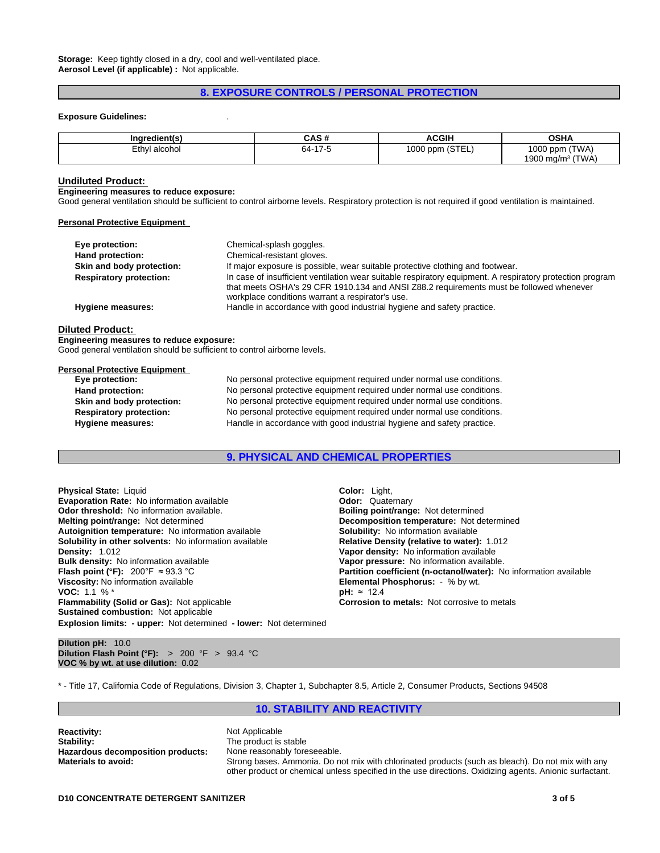**Storage:** Keep tightly closed in a dry, cool and well-ventilated place. **Aerosol Level (if applicable) :** Not applicable.

### **8. EXPOSURE CONTROLS / PERSONAL PROTECTION**

#### **Exposure Guidelines:** .

| Ingredient(s)                              | $\cdots$<br>$\mathbf{v}$    | <b>ACGIH</b>                   | <b>OSHA</b>               |
|--------------------------------------------|-----------------------------|--------------------------------|---------------------------|
| Ethyl<br>l alcohol<br>$\sim$ $\sim$ $\sim$ | $\rightarrow$<br>64-<br>. . | $20 - 1$<br>1000 ppm<br>ISIEL' | (TWA)<br>$1000$ ppm       |
|                                            |                             |                                | (TWA)<br>1900 ma/m $^3\,$ |

#### **Undiluted Product:**

#### **Engineering measures to reduce exposure:**

Good general ventilation should be sufficient to control airborne levels. Respiratory protection is not required if good ventilation is maintained.

#### **Personal Protective Equipment**

| Eye protection:                | Chemical-splash goggles.                                                                                                                                                                                                                                 |
|--------------------------------|----------------------------------------------------------------------------------------------------------------------------------------------------------------------------------------------------------------------------------------------------------|
| Hand protection:               | Chemical-resistant gloves.                                                                                                                                                                                                                               |
| Skin and body protection:      | If major exposure is possible, wear suitable protective clothing and footwear.                                                                                                                                                                           |
| <b>Respiratory protection:</b> | In case of insufficient ventilation wear suitable respiratory equipment. A respiratory protection program<br>that meets OSHA's 29 CFR 1910.134 and ANSI Z88.2 requirements must be followed whenever<br>workplace conditions warrant a respirator's use. |
| <b>Hygiene measures:</b>       | Handle in accordance with good industrial hygiene and safety practice.                                                                                                                                                                                   |
|                                |                                                                                                                                                                                                                                                          |

#### **Diluted Product:**

**Engineering measures to reduce exposure:** Good general ventilation should be sufficient to control airborne levels.

#### **Personal Protective Equipment**

| Eye protection:                | No personal protective equipment required under normal use conditions. |
|--------------------------------|------------------------------------------------------------------------|
| Hand protection:               | No personal protective equipment required under normal use conditions. |
| Skin and body protection:      | No personal protective equipment required under normal use conditions. |
| <b>Respiratory protection:</b> | No personal protective equipment required under normal use conditions. |
| <b>Hygiene measures:</b>       | Handle in accordance with good industrial hygiene and safety practice. |

### **9. PHYSICAL AND CHEMICAL PROPERTIES**

**Explosion limits: - upper:** Not determined **- lower:** Not determined **Physical State:** Liquid **Color: Light, Color: Light, Color: Light, Color: Light, Color: <b>Color: Cuaternary Evaporation Rate:** No information available **Concernant Convention Convention Available Convention Convention Convention Convention Convention Convention Convention Convention Convention Convention Convention Convention C Odor threshold: No information available.**<br>**Melting point/range: Not determined Autoignition temperature:** No information available **Solubility:** No information available **Solubility in other solvents: No information available Density: 1.012 Density:** 1.012 **Vapor density:** No information available **Bulk density:** No information available **Vapor pressure:** No information available.<br> **Flash point (°F):** 200°F ≈ 93.3 °C<br> **Partition coefficient (n-octanol/water):** N **Viscosity:** No information available **Elemental Phosphorus:** - % by wt.<br>**VOC:** 1.1 % <sup>\*</sup> **PH:** ≈ 12.4 **VOC:** 1.1 % \* **pH:** ≈12.4 **Flammability (Solid or Gas):** Not applicable **Corrosion to metals: Not corrosive to metals Corrosive to metals Sustained combustion:** Not applicable

**Decomposition temperature:** Not determined **Partition coefficient (n-octanol/water):** No information available

**Dilution pH:** 10.0 **Dilution Flash Point (°F):** > 200 °F > 93.4 °C **VOC % by wt. at use dilution:** 0.02

\* - Title 17, California Code of Regulations, Division 3, Chapter 1, Subchapter 8.5, Article 2, Consumer Products, Sections 94508

### **10. STABILITY AND REACTIVITY**

**Reactivity:** Not Applicable **Stability:** The product is stable<br> **Hazardous decomposition products:** None reasonably foreseeable. **Hazardous decomposition products:** 

**Materials to avoid:** Strong bases. Ammonia. Do not mix with chlorinated products (such as bleach). Do not mix with any other product or chemical unless specified in the use directions. Oxidizing agents. Anionic surfactant.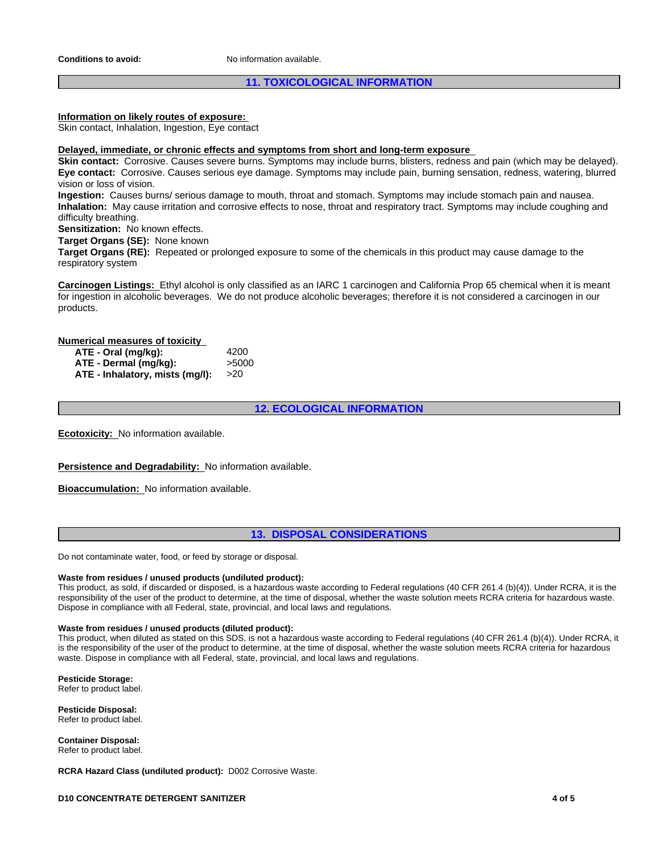### **11. TOXICOLOGICAL INFORMATION**

### **Information on likely routes of exposure:**

Skin contact, Inhalation, Ingestion, Eye contact

#### **Delayed, immediate, or chronic effects and symptoms from short and long-term exposure**

**Skin contact:** Corrosive. Causes severe burns. Symptoms may include burns, blisters, redness and pain (which may be delayed). **Eye contact:** Corrosive. Causes serious eye damage. Symptoms may include pain, burning sensation, redness, watering, blurred vision or loss of vision.

**Ingestion:** Causes burns/ serious damage to mouth, throat and stomach. Symptoms may include stomach pain and nausea. **Inhalation:** May cause irritation and corrosive effects to nose, throat and respiratory tract. Symptoms may include coughing and difficulty breathing.

**Sensitization:** No known effects.

**Target Organs (SE):** None known

**Target Organs (RE):** Repeated or prolonged exposure to some of the chemicals in this product may cause damage to the respiratory system

**Carcinogen Listings:** Ethyl alcohol is only classified as an IARC 1 carcinogen and California Prop 65 chemical when it is meant for ingestion in alcoholic beverages. We do not produce alcoholic beverages; therefore it is not considered a carcinogen in our products.

### **Numerical measures of toxicity**

| ATE - Oral (mg/kg):             | 4200  |
|---------------------------------|-------|
| ATE - Dermal (mg/kg):           | >5000 |
| ATE - Inhalatory, mists (mq/l): |       |

**12. ECOLOGICAL INFORMATION**

**Ecotoxicity:** No information available.

#### **Persistence and Degradability:** No information available.

**Bioaccumulation:** No information available.

### **13. DISPOSAL CONSIDERATIONS**

Do not contaminate water, food, or feed by storage or disposal.

### **Waste from residues / unused products (undiluted product):**

This product, as sold, if discarded or disposed, is a hazardous waste according to Federal regulations (40 CFR 261.4 (b)(4)). Under RCRA, it is the responsibility of the user of the product to determine, at the time of disposal, whether the waste solution meets RCRA criteria for hazardous waste. Dispose in compliance with all Federal, state, provincial, and local laws and regulations.

#### **Waste from residues / unused products (diluted product):**

This product, when diluted as stated on this SDS, is not a hazardous waste according to Federal regulations (40 CFR 261.4 (b)(4)). Under RCRA, it is the responsibility of the user of the product to determine, at the time of disposal, whether the waste solution meets RCRA criteria for hazardous waste. Dispose in compliance with all Federal, state, provincial, and local laws and regulations.

**Pesticide Storage:** Refer to product label.

**Pesticide Disposal:** Refer to product label.

**Container Disposal:** Refer to product label.

**RCRA Hazard Class (undiluted product):** D002 Corrosive Waste.